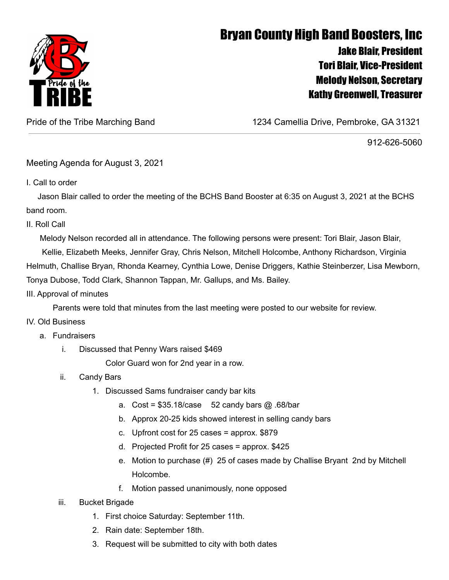

## Bryan County High Band Boosters, Inc Jake Blair, President Tori Blair, Vice-President Melody Nelson, Secretary Kathy Greenwell, Treasurer

Pride of the Tribe Marching Band 1234 Camellia Drive, Pembroke, GA 31321

912-626-5060

Meeting Agenda for August 3, 2021

I. Call to order

Jason Blair called to order the meeting of the BCHS Band Booster at 6:35 on August 3, 2021 at the BCHS band room.

II. Roll Call

Melody Nelson recorded all in attendance. The following persons were present: Tori Blair, Jason Blair, Kellie, Elizabeth Meeks, Jennifer Gray, Chris Nelson, Mitchell Holcombe, Anthony Richardson, Virginia Helmuth, Challise Bryan, Rhonda Kearney, Cynthia Lowe, Denise Driggers, Kathie Steinberzer, Lisa Mewborn, Tonya Dubose, Todd Clark, Shannon Tappan, Mr. Gallups, and Ms. Bailey.

III. Approval of minutes

Parents were told that minutes from the last meeting were posted to our website for review.

## IV. Old Business

- a. Fundraisers
	- i. Discussed that Penny Wars raised \$469

Color Guard won for 2nd year in a row.

- ii. Candy Bars
	- 1. Discussed Sams fundraiser candy bar kits
		- a. Cost =  $$35.18/case$  52 candy bars  $@.68/bar$
		- b. Approx 20-25 kids showed interest in selling candy bars
		- c. Upfront cost for 25 cases = approx. \$879
		- d. Projected Profit for 25 cases = approx. \$425
		- e. Motion to purchase (#) 25 of cases made by Challise Bryant 2nd by Mitchell Holcombe.
		- f. Motion passed unanimously, none opposed
- iii. Bucket Brigade
	- 1. First choice Saturday: September 11th.
	- 2. Rain date: September 18th.
	- 3. Request will be submitted to city with both dates